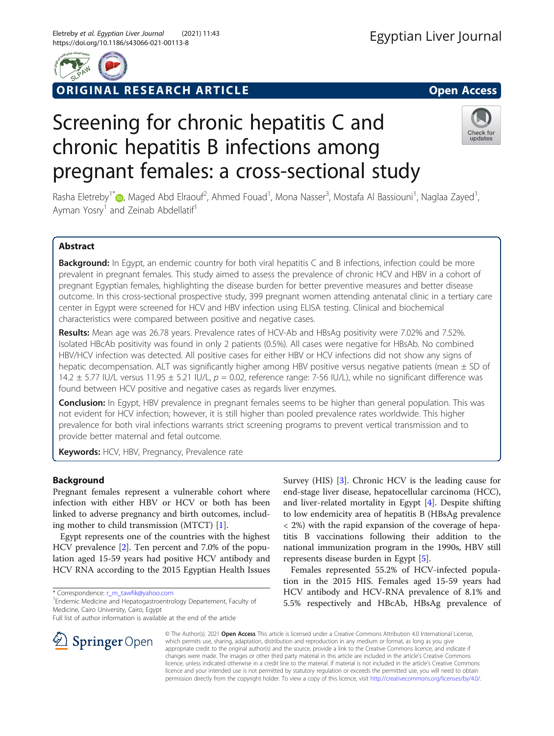

ORIGINAL RESEARCH ARTICLE **Solution Contract Contract Contract Contract Contract Contract Contract Contract Contract Contract Contract Contract Contract Contract Contract Contract Contract Contract Contract Contract Contra** 

# Screening for chronic hepatitis C and chronic hepatitis B infections among pregnant females: a cross-sectional study



Rasha Eletreby<sup>1\*</sup>®[,](http://orcid.org/0000-0001-9400-2880) Maged Abd Elraouf<sup>2</sup>, Ahmed Fouad<sup>1</sup>, Mona Nasser<sup>3</sup>, Mostafa Al Bassiouni<sup>1</sup>, Naglaa Zayed<sup>1</sup> , Ayman Yosry<sup>1</sup> and Zeinab Abdellatif<sup>1</sup>

# Abstract

Background: In Egypt, an endemic country for both viral hepatitis C and B infections, infection could be more prevalent in pregnant females. This study aimed to assess the prevalence of chronic HCV and HBV in a cohort of pregnant Egyptian females, highlighting the disease burden for better preventive measures and better disease outcome. In this cross-sectional prospective study, 399 pregnant women attending antenatal clinic in a tertiary care center in Egypt were screened for HCV and HBV infection using ELISA testing. Clinical and biochemical characteristics were compared between positive and negative cases.

Results: Mean age was 26.78 years. Prevalence rates of HCV-Ab and HBsAg positivity were 7.02% and 7.52%. Isolated HBcAb positivity was found in only 2 patients (0.5%). All cases were negative for HBsAb. No combined HBV/HCV infection was detected. All positive cases for either HBV or HCV infections did not show any signs of hepatic decompensation. ALT was significantly higher among HBV positive versus negative patients (mean ± SD of 14.2  $\pm$  5.77 IU/L versus 11.95  $\pm$  5.21 IU/L,  $p = 0.02$ , reference range: 7-56 IU/L), while no significant difference was found between HCV positive and negative cases as regards liver enzymes.

**Conclusion:** In Egypt, HBV prevalence in pregnant females seems to be higher than general population. This was not evident for HCV infection; however, it is still higher than pooled prevalence rates worldwide. This higher prevalence for both viral infections warrants strict screening programs to prevent vertical transmission and to provide better maternal and fetal outcome.

Keywords: HCV, HBV, Pregnancy, Prevalence rate

## Background

Pregnant females represent a vulnerable cohort where infection with either HBV or HCV or both has been linked to adverse pregnancy and birth outcomes, including mother to child transmission (MTCT) [\[1](#page-4-0)].

Egypt represents one of the countries with the highest HCV prevalence [[2\]](#page-4-0). Ten percent and 7.0% of the population aged 15-59 years had positive HCV antibody and HCV RNA according to the 2015 Egyptian Health Issues

\* Correspondence: [r\\_m\\_tawfik@yahoo.com](mailto:r_m_tawfik@yahoo.com) <sup>1</sup>

<sup>1</sup> Endemic Medicine and Hepatogastroentrology Departement, Faculty of Medicine, Cairo University, Cairo, Egypt

Full list of author information is available at the end of the article

Survey (HIS) [\[3\]](#page-4-0). Chronic HCV is the leading cause for end-stage liver disease, hepatocellular carcinoma (HCC), and liver-related mortality in Egypt [[4](#page-4-0)]. Despite shifting to low endemicity area of hepatitis B (HBsAg prevalence < 2%) with the rapid expansion of the coverage of hepatitis B vaccinations following their addition to the national immunization program in the 1990s, HBV still represents disease burden in Egypt [\[5](#page-4-0)].

Females represented 55.2% of HCV-infected population in the 2015 HIS. Females aged 15-59 years had HCV antibody and HCV-RNA prevalence of 8.1% and 5.5% respectively and HBcAb, HBsAg prevalence of



© The Author(s). 2021 Open Access This article is licensed under a Creative Commons Attribution 4.0 International License, which permits use, sharing, adaptation, distribution and reproduction in any medium or format, as long as you give appropriate credit to the original author(s) and the source, provide a link to the Creative Commons licence, and indicate if changes were made. The images or other third party material in this article are included in the article's Creative Commons licence, unless indicated otherwise in a credit line to the material. If material is not included in the article's Creative Commons licence and your intended use is not permitted by statutory regulation or exceeds the permitted use, you will need to obtain permission directly from the copyright holder. To view a copy of this licence, visit <http://creativecommons.org/licenses/by/4.0/>.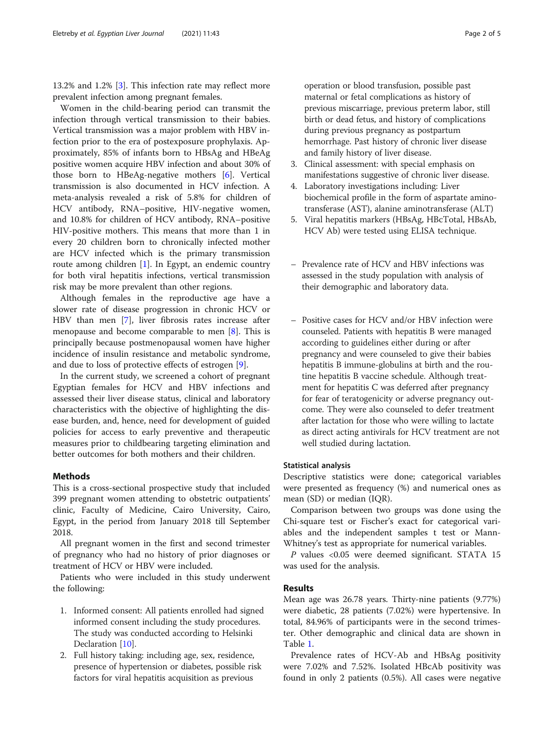13.2% and 1.2% [\[3](#page-4-0)]. This infection rate may reflect more prevalent infection among pregnant females.

Women in the child-bearing period can transmit the infection through vertical transmission to their babies. Vertical transmission was a major problem with HBV infection prior to the era of postexposure prophylaxis. Approximately, 85% of infants born to HBsAg and HBeAg positive women acquire HBV infection and about 30% of those born to HBeAg-negative mothers [[6\]](#page-4-0). Vertical transmission is also documented in HCV infection. A meta-analysis revealed a risk of 5.8% for children of HCV antibody, RNA–positive, HIV-negative women, and 10.8% for children of HCV antibody, RNA–positive HIV-positive mothers. This means that more than 1 in every 20 children born to chronically infected mother are HCV infected which is the primary transmission route among children [\[1](#page-4-0)]. In Egypt, an endemic country for both viral hepatitis infections, vertical transmission risk may be more prevalent than other regions.

Although females in the reproductive age have a slower rate of disease progression in chronic HCV or HBV than men [[7](#page-4-0)], liver fibrosis rates increase after menopause and become comparable to men [\[8](#page-4-0)]. This is principally because postmenopausal women have higher incidence of insulin resistance and metabolic syndrome, and due to loss of protective effects of estrogen [[9\]](#page-4-0).

In the current study, we screened a cohort of pregnant Egyptian females for HCV and HBV infections and assessed their liver disease status, clinical and laboratory characteristics with the objective of highlighting the disease burden, and, hence, need for development of guided policies for access to early preventive and therapeutic measures prior to childbearing targeting elimination and better outcomes for both mothers and their children.

## **Methods**

This is a cross-sectional prospective study that included 399 pregnant women attending to obstetric outpatients' clinic, Faculty of Medicine, Cairo University, Cairo, Egypt, in the period from January 2018 till September 2018.

All pregnant women in the first and second trimester of pregnancy who had no history of prior diagnoses or treatment of HCV or HBV were included.

Patients who were included in this study underwent the following:

- 1. Informed consent: All patients enrolled had signed informed consent including the study procedures. The study was conducted according to Helsinki Declaration [[10](#page-4-0)].
- 2. Full history taking: including age, sex, residence, presence of hypertension or diabetes, possible risk factors for viral hepatitis acquisition as previous

operation or blood transfusion, possible past maternal or fetal complications as history of previous miscarriage, previous preterm labor, still birth or dead fetus, and history of complications during previous pregnancy as postpartum hemorrhage. Past history of chronic liver disease and family history of liver disease.

- 3. Clinical assessment: with special emphasis on manifestations suggestive of chronic liver disease.
- 4. Laboratory investigations including: Liver biochemical profile in the form of aspartate aminotransferase (AST), alanine aminotransferase (ALT)
- 5. Viral hepatitis markers (HBsAg, HBcTotal, HBsAb, HCV Ab) were tested using ELISA technique.
- Prevalence rate of HCV and HBV infections was assessed in the study population with analysis of their demographic and laboratory data.
- Positive cases for HCV and/or HBV infection were counseled. Patients with hepatitis B were managed according to guidelines either during or after pregnancy and were counseled to give their babies hepatitis B immune-globulins at birth and the routine hepatitis B vaccine schedule. Although treatment for hepatitis C was deferred after pregnancy for fear of teratogenicity or adverse pregnancy outcome. They were also counseled to defer treatment after lactation for those who were willing to lactate as direct acting antivirals for HCV treatment are not well studied during lactation.

#### Statistical analysis

Descriptive statistics were done; categorical variables were presented as frequency (%) and numerical ones as mean (SD) or median (IQR).

Comparison between two groups was done using the Chi-square test or Fischer's exact for categorical variables and the independent samples t test or Mann-Whitney's test as appropriate for numerical variables.

P values <0.05 were deemed significant. STATA 15 was used for the analysis.

## Results

Mean age was 26.78 years. Thirty-nine patients (9.77%) were diabetic, 28 patients (7.02%) were hypertensive. In total, 84.96% of participants were in the second trimester. Other demographic and clinical data are shown in Table [1.](#page-2-0)

Prevalence rates of HCV-Ab and HBsAg positivity were 7.02% and 7.52%. Isolated HBcAb positivity was found in only 2 patients (0.5%). All cases were negative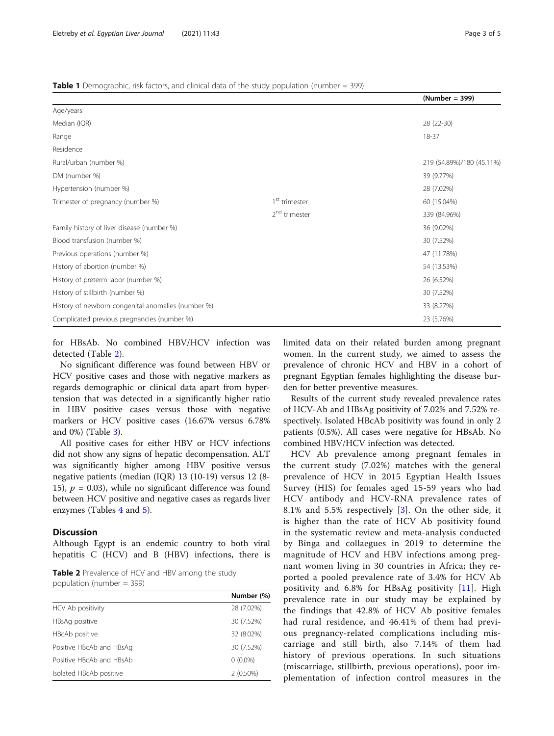### <span id="page-2-0"></span>Table 1 Demographic, risk factors, and clinical data of the study population (number = 399)

|                           | (Number = 399)            |
|---------------------------|---------------------------|
|                           |                           |
|                           | 28 (22-30)                |
|                           | 18-37                     |
|                           |                           |
|                           | 219 (54.89%)/180 (45.11%) |
|                           | 39 (9.77%)                |
|                           | 28 (7.02%)                |
| 1 <sup>st</sup> trimester | 60 (15.04%)               |
| 2 <sup>nd</sup> trimester | 339 (84.96%)              |
|                           | 36 (9.02%)                |
|                           | 30 (7.52%)                |
|                           | 47 (11.78%)               |
|                           | 54 (13.53%)               |
|                           | 26 (6.52%)                |
|                           | 30 (7.52%)                |
|                           | 33 (8.27%)                |
|                           | 23 (5.76%)                |
|                           |                           |

for HBsAb. No combined HBV/HCV infection was detected (Table 2).

No significant difference was found between HBV or HCV positive cases and those with negative markers as regards demographic or clinical data apart from hypertension that was detected in a significantly higher ratio in HBV positive cases versus those with negative markers or HCV positive cases (16.67% versus 6.78% and 0%) (Table [3\)](#page-3-0).

All positive cases for either HBV or HCV infections did not show any signs of hepatic decompensation. ALT was significantly higher among HBV positive versus negative patients (median (IQR) 13 (10-19) versus 12 (8- 15),  $p = 0.03$ ), while no significant difference was found between HCV positive and negative cases as regards liver enzymes (Tables [4](#page-3-0) and [5](#page-4-0)).

## **Discussion**

Although Egypt is an endemic country to both viral hepatitis C (HCV) and B (HBV) infections, there is

Table 2 Prevalence of HCV and HBV among the study population (number = 399)

|                          | Number (%)  |
|--------------------------|-------------|
| HCV Ab positivity        | 28 (7.02%)  |
| HBsAg positive           | 30 (7.52%)  |
| HBcAb positive           | 32 (8.02%)  |
| Positive HBcAb and HBsAg | 30 (7.52%)  |
| Positive HBcAb and HBsAb | $0(0.0\%)$  |
| Isolated HBcAb positive  | $2(0.50\%)$ |

limited data on their related burden among pregnant women. In the current study, we aimed to assess the prevalence of chronic HCV and HBV in a cohort of pregnant Egyptian females highlighting the disease burden for better preventive measures.

Results of the current study revealed prevalence rates of HCV-Ab and HBsAg positivity of 7.02% and 7.52% respectively. Isolated HBcAb positivity was found in only 2 patients (0.5%). All cases were negative for HBsAb. No combined HBV/HCV infection was detected.

HCV Ab prevalence among pregnant females in the current study (7.02%) matches with the general prevalence of HCV in 2015 Egyptian Health Issues Survey (HIS) for females aged 15-59 years who had HCV antibody and HCV-RNA prevalence rates of 8.1% and 5.5% respectively [[3\]](#page-4-0). On the other side, it is higher than the rate of HCV Ab positivity found in the systematic review and meta-analysis conducted by Binga and collaegues in 2019 to determine the magnitude of HCV and HBV infections among pregnant women living in 30 countries in Africa; they reported a pooled prevalence rate of 3.4% for HCV Ab positivity and 6.8% for HBsAg positivity [\[11\]](#page-4-0). High prevalence rate in our study may be explained by the findings that 42.8% of HCV Ab positive females had rural residence, and 46.41% of them had previous pregnancy-related complications including miscarriage and still birth, also 7.14% of them had history of previous operations. In such situations (miscarriage, stillbirth, previous operations), poor implementation of infection control measures in the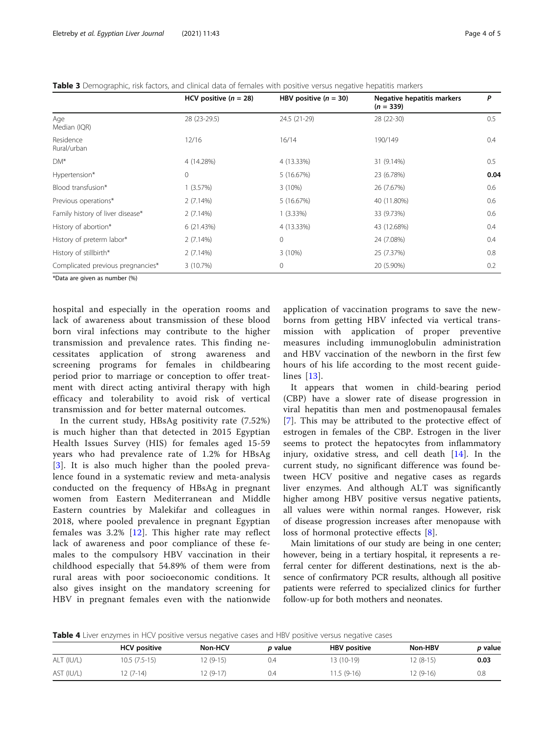<span id="page-3-0"></span>Table 3 Demographic, risk factors, and clinical data of females with positive versus negative hepatitis markers

|                                   | HCV positive $(n = 28)$ | HBV positive $(n = 30)$ | Negative hepatitis markers<br>$(n = 339)$ | P    |
|-----------------------------------|-------------------------|-------------------------|-------------------------------------------|------|
| Age<br>Median (IQR)               | 28 (23-29.5)            | 24.5 (21-29)            | 28 (22-30)                                | 0.5  |
| Residence<br>Rural/urban          | 12/16                   | 16/14                   | 190/149                                   | 0.4  |
| DM <sup>*</sup>                   | 4 (14.28%)              | 4 (13.33%)              | 31 (9.14%)                                | 0.5  |
| Hypertension*                     | $\mathbf 0$             | 5 (16.67%)              | 23 (6.78%)                                | 0.04 |
| Blood transfusion*                | 1(3.57%)                | $3(10\%)$               | 26 (7.67%)                                | 0.6  |
| Previous operations*              | 2(7.14%)                | 5 (16.67%)              | 40 (11.80%)                               | 0.6  |
| Family history of liver disease*  | 2(7.14%)                | $1(3.33\%)$             | 33 (9.73%)                                | 0.6  |
| History of abortion*              | 6(21.43%)               | 4 (13.33%)              | 43 (12.68%)                               | 0.4  |
| History of preterm labor*         | 2(7.14%)                | $\mathbf{0}$            | 24 (7.08%)                                | 0.4  |
| History of stillbirth*            | 2(7.14%)                | $3(10\%)$               | 25 (7.37%)                                | 0.8  |
| Complicated previous pregnancies* | 3 (10.7%)               | 0                       | 20 (5.90%)                                | 0.2  |

\*Data are given as number (%)

hospital and especially in the operation rooms and lack of awareness about transmission of these blood born viral infections may contribute to the higher transmission and prevalence rates. This finding necessitates application of strong awareness and screening programs for females in childbearing period prior to marriage or conception to offer treatment with direct acting antiviral therapy with high efficacy and tolerability to avoid risk of vertical transmission and for better maternal outcomes.

In the current study, HBsAg positivity rate (7.52%) is much higher than that detected in 2015 Egyptian Health Issues Survey (HIS) for females aged 15-59 years who had prevalence rate of 1.2% for HBsAg [[3](#page-4-0)]. It is also much higher than the pooled prevalence found in a systematic review and meta-analysis conducted on the frequency of HBsAg in pregnant women from Eastern Mediterranean and Middle Eastern countries by Malekifar and colleagues in 2018, where pooled prevalence in pregnant Egyptian females was 3.2% [\[12\]](#page-4-0). This higher rate may reflect lack of awareness and poor compliance of these females to the compulsory HBV vaccination in their childhood especially that 54.89% of them were from rural areas with poor socioeconomic conditions. It also gives insight on the mandatory screening for HBV in pregnant females even with the nationwide application of vaccination programs to save the newborns from getting HBV infected via vertical transmission with application of proper preventive measures including immunoglobulin administration and HBV vaccination of the newborn in the first few hours of his life according to the most recent guidelines [[13\]](#page-4-0).

It appears that women in child-bearing period (CBP) have a slower rate of disease progression in viral hepatitis than men and postmenopausal females [[7\]](#page-4-0). This may be attributed to the protective effect of estrogen in females of the CBP. Estrogen in the liver seems to protect the hepatocytes from inflammatory injury, oxidative stress, and cell death [\[14](#page-4-0)]. In the current study, no significant difference was found between HCV positive and negative cases as regards liver enzymes. And although ALT was significantly higher among HBV positive versus negative patients, all values were within normal ranges. However, risk of disease progression increases after menopause with loss of hormonal protective effects [[8\]](#page-4-0).

Main limitations of our study are being in one center; however, being in a tertiary hospital, it represents a referral center for different destinations, next is the absence of confirmatory PCR results, although all positive patients were referred to specialized clinics for further follow-up for both mothers and neonates.

**Table 4** Liver enzymes in HCV positive versus negative cases and HBV positive versus negative cases

|            | <b>HCV</b> positive | Non-HCV   | <i>p</i> value | <b>HBV</b> positive | Non-HBV    | <i>p</i> value |
|------------|---------------------|-----------|----------------|---------------------|------------|----------------|
| ALT (IU/L) | 10.5 (7.5-15)       | 12 (9-15) | 0.4            | 13 (10-19)          | $12(8-15)$ | 0.03           |
| AST (IU/L) | $2(7-14)$           | '2 (9-17) | 0.4            | $1.5(9-16)$         | 12 (9-16)  | 0.8            |